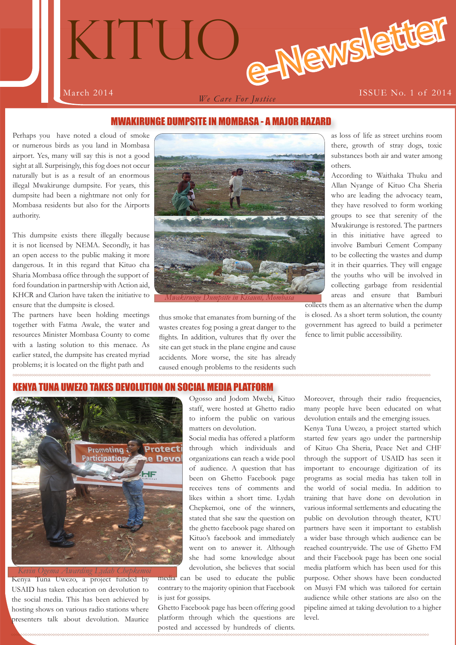

# MWAKIRUNGE DUMPSITE IN MOMBASA - A MAJOR HAZARD

Perhaps you have noted a cloud of smoke or numerous birds as you land in Mombasa airport. Yes, many will say this is not a good sight at all. Surprisingly, this fog does not occur naturally but is as a result of an enormous illegal Mwakirunge dumpsite. For years, this dumpsite had been a nightmare not only for Mombasa residents but also for the Airports authority.

This dumpsite exists there illegally because it is not licensed by NEMA. Secondly, it has an open access to the public making it more dangerous. It in this regard that Kituo cha Sharia Mombasa office through the support of ford foundation in partnership with Action aid, KHCR and Clarion have taken the initiative to ensure that the dumpsite is closed.

The partners have been holding meetings together with Fatma Awale, the water and resources Minister Mombasa County to come with a lasting solution to this menace. As earlier stated, the dumpsite has created myriad problems; it is located on the flight path and



thus smoke that emanates from burning of the wastes creates fog posing a great danger to the flights. In addition, vultures that fly over the site can get stuck in the plane engine and cause accidents. More worse, the site has already caused enough problems to the residents such as loss of life as street urchins room there, growth of stray dogs, toxic substances both air and water among others.

According to Waithaka Thuku and Allan Nyange of Kituo Cha Sheria who are leading the advocacy team, they have resolved to form working groups to see that serenity of the Mwakirunge is restored. The partners in this initiative have agreed to involve Bamburi Cement Company to be collecting the wastes and dump it in their quarries. They will engage the youths who will be involved in collecting garbage from residential areas and ensure that Bamburi

collects them as an alternative when the dump is closed. As a short term solution, the county government has agreed to build a perimeter fence to limit public accessibility.

### WEZO TAKES DEVOLUTION ON SOCIAL MEDIA PLATFORM



Kenya Tuna Uwezo, a project funded by USAID has taken education on devolution to the social media. This has been achieved by hosting shows on various radio stations where presenters talk about devolution. Maurice

Ogosso and Jodom Mwebi, Kituo staff, were hosted at Ghetto radio to inform the public on various matters on devolution.

Social media has offered a platform through which individuals and organizations can reach a wide pool of audience. A question that has been on Ghetto Facebook page receives tens of comments and likes within a short time. Lydah Chepkemoi, one of the winners, stated that she saw the question on the ghetto facebook page shared on Kituo's facebook and immediately went on to answer it. Although she had some knowledge about devolution, she believes that social

media can be used to educate the public contrary to the majority opinion that Facebook is just for gossips.

Ghetto Facebook page has been offering good platform through which the questions are posted and accessed by hundreds of clients.

Moreover, through their radio frequencies, many people have been educated on what devolution entails and the emerging issues.

Kenya Tuna Uwezo, a project started which started few years ago under the partnership of Kituo Cha Sheria, Peace Net and CHF through the support of USAID has seen it important to encourage digitization of its programs as social media has taken toll in the world of social media. In addition to training that have done on devolution in various informal settlements and educating the public on devolution through theater, KTU partners have seen it important to establish a wider base through which audience can be reached countrywide. The use of Ghetto FM and their Facebook page has been one social media platform which has been used for this purpose. Other shows have been conducted on Musyi FM which was tailored for certain audience while other stations are also on the pipeline aimed at taking devolution to a higher level.

**1**